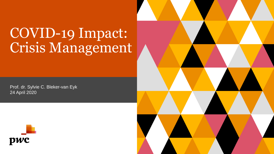## COVID-19 Impact: Crisis Management

Prof. dr. Sylvie C. Bleker-van Eyk 24 April 2020



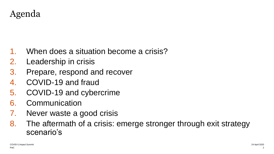Agenda

- When does a situation become a crisis?
- 2. Leadership in crisis
- 3. Prepare, respond and recover
- 4. COVID-19 and fraud
- 5. COVID-19 and cybercrime
- 6. Communication
- 7. Never waste a good crisis
- 8. The aftermath of a crisis: emerge stronger through exit strategy scenario's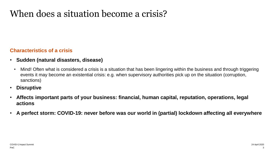## When does a situation become a crisis?

### **Characteristics of a crisis**

- **Sudden (natural disasters, disease)**
- Mind! Often what is considered a crisis is a situation that has been lingering within the business and through triggering events it may become an existential crisis: e.g. when supervisory authorities pick up on the situation (corruption, sanctions)
- **Disruptive**
- **Affects important parts of your business: financial, human capital, reputation, operations, legal actions**
- **A perfect storm: COVID-19: never before was our world in (partial) lockdown affecting all everywhere**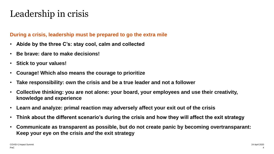## Leadership in crisis

## **During a crisis, leadership must be prepared to go the extra mile**

- **Abide by the three C's: stay cool, calm and collected**
- **Be brave: dare to make decisions!**
- **Stick to your values!**
- **Courage! Which also means the courage to prioritize**
- **Take responsibility: own the crisis and be a true leader and not a follower**
- **Collective thinking: you are not alone: your board, your employees and use their creativity, knowledge and experience**
- **Learn and analyze: primal reaction may adversely affect your exit out of the crisis**
- **Think about the different scenario's during the crisis and how they will affect the exit strategy**
- **Communicate as transparent as possible, but do not create panic by becoming overtransparant: Keep your eye on the crisis** *and* **the exit strategy**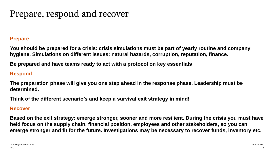## Prepare, respond and recover

### **Prepare**

**You should be prepared for a crisis: crisis simulations must be part of yearly routine and company hygiene. Simulations on different issues: natural hazards, corruption, reputation, finance.**

**Be prepared and have teams ready to act with a protocol on key essentials**

## **Respond**

**The preparation phase will give you one step ahead in the response phase. Leadership must be determined.**

**Think of the different scenario's and keep a survival exit strategy in mind!**

### **Recover**

**Based on the exit strategy: emerge stronger, sooner and more resilient. During the crisis you must have held focus on the supply chain, financial position, employees and other stakeholders, so you can emerge stronger and fit for the future. Investigations may be necessary to recover funds, inventory etc.**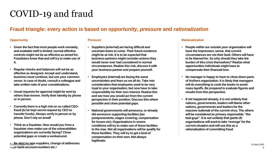## COVID-19 and fraud

## **Fraud triangle: every action is based on** *opportunity***,** *pressure* **and** *rationalization*

#### **Opportunity**

- **Given the fact that most people work remotely, and available staff is limited, normal effective controls might not be as effective as aimed for. Fraudsters know that and will try to make use of it.**
- **Regular checks and balances will not be as effective as designed. Accept and understand, business must continue, but use your common sense. In case of doubt, consult a colleague and take written note of your considerations.**
- **Usual requests for approval might be sent by others than known. Verify their identity by phone or in person.**
- **Currently there is a high risk on so called CEOfraud (to be kept secret request by CEO to transfer funds). Always verify in person or by phone. Don't rely on email!**
- **Think as a fraudster. How would you from a fraudster view make use of the vulnerabilities organizations are currently facing? Close potential gaps or create a workaround.**
- PwC **or bank-account-numbers etc.! \*ov<del>RC</del> alert on new suppliers, change of addresses**  $\frac{3}{4}$  **April 2020**

#### **Pressure**

- **Suppliers (external) are facing difficult and uncertain times to come. Their future existence might be at risk. It is to be expected that business-partners might consider actions they would never ever had considered in normal circumstances. Realise this risk, discuss it with your business-partner and prepare yourself.**
- **Employees (internal) are facing the same uncertainties and fears as we all do. Take into consideration that employees used to be very loyal to your organisation, but now have to take responsibility for their own interest. Realise this and see how you would act from the current perspective in their position. Discuss this where possible and close potential gaps.**
- **National governments will announce, or already did announce supporting facilities (tax postponements, wages covering, compensation for losses etc). Organisations in severe conditions will try to make use of these facilities to the max. Not all organisations will be qualify for these facilities. They will try to get a kind of compensation on their own. Not always legitimate.**

#### **Rationalization**

- **People within our outside your organization will have the impression, sense, that current circumstances are not their fault. Others will have to be blamed for. So why should they take the burden of this crisis themselves? Realize what opportunities individuals might have to compensate their financial loss.**
- **No manager is happy to have to close down parts of his/hers organization. It is likely that managers will do everything to cook the books to avoid mass layoffs. Be prepared to evaluate figures and results from this perspective.**
- **If not happened already, it is not unlikely that nations, governments, leaders will blame other nations, governments and leaders for the massive outbreak of the current virus. The others will be considered as primary responsible, "the bad guys". It is not unlikely that (parts of) organizations will want to take 'revenge' for the current situation and will use this as a rationalization of committing fraud**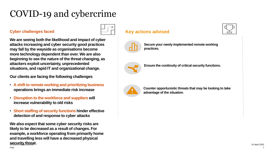## COVID-19 and cybercrime

#### **Cyber challenges faced**

**We are seeing both the likelihood and impact of cyber attacks increasing and cyber security good practices may fall by the wayside as organisations become more technology dependent than ever. We are also beginning to see the nature of the threat changing, as attackers exploit uncertainty, unprecedented situations, and rapid IT and organizational change.**

**Our clients are facing the following challenges** 

- **A shift to remote working and prioritizing business operations brings an immediate risk increase**
- **Disruption to the workforce and suppliers will increase vulnerability to old risks**
- **Short staffing of security functions hinder effective detection of and response to cyber attacks**

COVID-!( Impact Summit 24 April 2020 **We also expect that some cyber security risks are likely to be decreased as a result of changes. For example, a workforce operating from primarily home and travelling less will have a decreased physical security threat.**

**Key actions advised**

**Secure your newly implemented remote working practices.**



**Ensure the continuity of critical security functions.**



**Counter opportunistic threats that may be looking to take advantage of the situation**.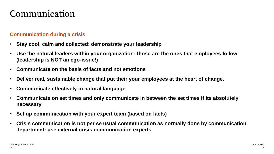## Communication

## **Communication during a crisis**

- **Stay cool, calm and collected: demonstrate your leadership**
- **Use the natural leaders within your organization: those are the ones that employees follow (leadership is NOT an ego-issue!)**
- **Communicate on the basis of facts and not emotions**
- **Deliver real, sustainable change that put their your employees at the heart of change.**
- **Communicate effectively in natural language**
- **Communicate on set times and only communicate in between the set times if its absolutely necessary**
- **Set up communication with your expert team (based on facts)**
- **Crisis communication is not per se usual communication as normally done by communication department: use external crisis communication experts**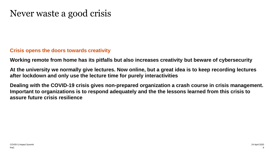## Never waste a good crisis

### **Crisis opens the doors towards creativity**

**Working remote from home has its pitfalls but also increases creativity but beware of cybersecurity**

**At the university we normally give lectures. Now online, but a great idea is to keep recording lectures after lockdown and only use the lecture time for purely interactivities**

**Dealing with the COVID-19 crisis gives non-prepared organization a crash course in crisis management. Important to organizations is to respond adequately and the the lessons learned from this crisis to assure future crisis resilience**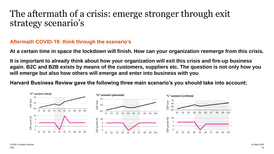## The aftermath of a crisis: emerge stronger through exit strategy scenario's

## **Aftermath COVID-19: think through the scenario's**

**At a certain time in space the lockdown will finish. How can your organization reemerge from this crisis.**

**It is important to already think about how your organization will exit this crisis and fire-up business again. B2C and B2B exists by means of the customers, suppliers etc. The question is not only how you will emerge but also how others will emerge and enter into business with you**

**Harvard Business Review gave the following three main scenario's you should take into account;**